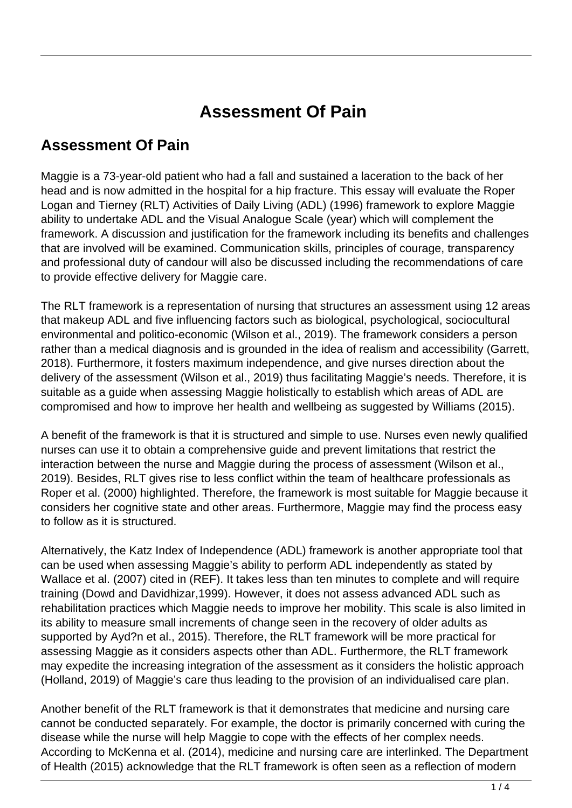## **Assessment Of Pain**

## **Assessment Of Pain**

Maggie is a 73-year-old patient who had a fall and sustained a laceration to the back of her head and is now admitted in the hospital for a hip fracture. This essay will evaluate the Roper Logan and Tierney (RLT) Activities of Daily Living (ADL) (1996) framework to explore Maggie ability to undertake ADL and the Visual Analogue Scale (year) which will complement the framework. A discussion and justification for the framework including its benefits and challenges that are involved will be examined. Communication skills, principles of courage, transparency and professional duty of candour will also be discussed including the recommendations of care to provide effective delivery for Maggie care.

The RLT framework is a representation of nursing that structures an assessment using 12 areas that makeup ADL and five influencing factors such as biological, psychological, sociocultural environmental and politico-economic (Wilson et al., 2019). The framework considers a person rather than a medical diagnosis and is grounded in the idea of realism and accessibility (Garrett, 2018). Furthermore, it fosters maximum independence, and give nurses direction about the delivery of the assessment (Wilson et al., 2019) thus facilitating Maggie's needs. Therefore, it is suitable as a guide when assessing Maggie holistically to establish which areas of ADL are compromised and how to improve her health and wellbeing as suggested by Williams (2015).

A benefit of the framework is that it is structured and simple to use. Nurses even newly qualified nurses can use it to obtain a comprehensive guide and prevent limitations that restrict the interaction between the nurse and Maggie during the process of assessment (Wilson et al., 2019). Besides, RLT gives rise to less conflict within the team of healthcare professionals as Roper et al. (2000) highlighted. Therefore, the framework is most suitable for Maggie because it considers her cognitive state and other areas. Furthermore, Maggie may find the process easy to follow as it is structured.

Alternatively, the Katz Index of Independence (ADL) framework is another appropriate tool that can be used when assessing Maggie's ability to perform ADL independently as stated by Wallace et al. (2007) cited in (REF). It takes less than ten minutes to complete and will require training (Dowd and Davidhizar,1999). However, it does not assess advanced ADL such as rehabilitation practices which Maggie needs to improve her mobility. This scale is also limited in its ability to measure small increments of change seen in the recovery of older adults as supported by Ayd?n et al., 2015). Therefore, the RLT framework will be more practical for assessing Maggie as it considers aspects other than ADL. Furthermore, the RLT framework may expedite the increasing integration of the assessment as it considers the holistic approach (Holland, 2019) of Maggie's care thus leading to the provision of an individualised care plan.

Another benefit of the RLT framework is that it demonstrates that medicine and nursing care cannot be conducted separately. For example, the doctor is primarily concerned with curing the disease while the nurse will help Maggie to cope with the effects of her complex needs. According to McKenna et al. (2014), medicine and nursing care are interlinked. The Department of Health (2015) acknowledge that the RLT framework is often seen as a reflection of modern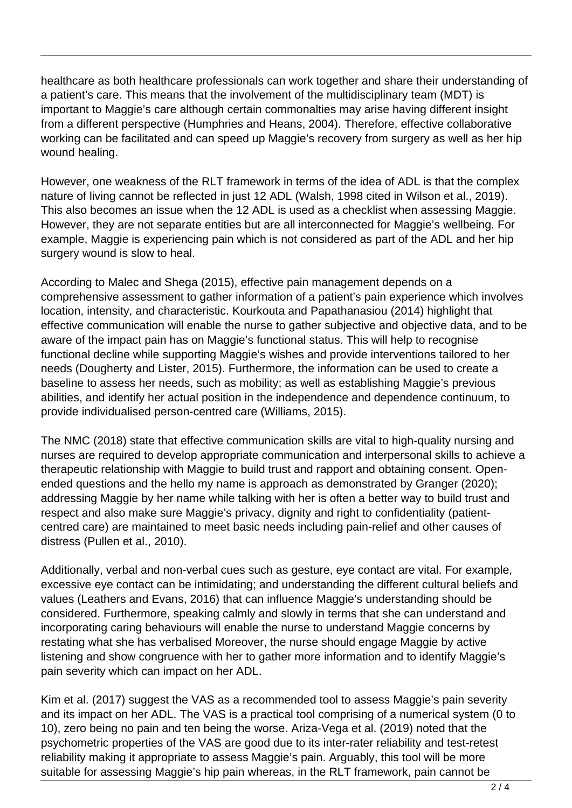healthcare as both healthcare professionals can work together and share their understanding of a patient's care. This means that the involvement of the multidisciplinary team (MDT) is important to Maggie's care although certain commonalties may arise having different insight from a different perspective (Humphries and Heans, 2004). Therefore, effective collaborative working can be facilitated and can speed up Maggie's recovery from surgery as well as her hip wound healing.

However, one weakness of the RLT framework in terms of the idea of ADL is that the complex nature of living cannot be reflected in just 12 ADL (Walsh, 1998 cited in Wilson et al., 2019). This also becomes an issue when the 12 ADL is used as a checklist when assessing Maggie. However, they are not separate entities but are all interconnected for Maggie's wellbeing. For example, Maggie is experiencing pain which is not considered as part of the ADL and her hip surgery wound is slow to heal.

According to Malec and Shega (2015), effective pain management depends on a comprehensive assessment to gather information of a patient's pain experience which involves location, intensity, and characteristic. Kourkouta and Papathanasiou (2014) highlight that effective communication will enable the nurse to gather subjective and objective data, and to be aware of the impact pain has on Maggie's functional status. This will help to recognise functional decline while supporting Maggie's wishes and provide interventions tailored to her needs (Dougherty and Lister, 2015). Furthermore, the information can be used to create a baseline to assess her needs, such as mobility; as well as establishing Maggie's previous abilities, and identify her actual position in the independence and dependence continuum, to provide individualised person-centred care (Williams, 2015).

The NMC (2018) state that effective communication skills are vital to high-quality nursing and nurses are required to develop appropriate communication and interpersonal skills to achieve a therapeutic relationship with Maggie to build trust and rapport and obtaining consent. Openended questions and the hello my name is approach as demonstrated by Granger (2020); addressing Maggie by her name while talking with her is often a better way to build trust and respect and also make sure Maggie's privacy, dignity and right to confidentiality (patientcentred care) are maintained to meet basic needs including pain-relief and other causes of distress (Pullen et al., 2010).

Additionally, verbal and non-verbal cues such as gesture, eye contact are vital. For example, excessive eye contact can be intimidating; and understanding the different cultural beliefs and values (Leathers and Evans, 2016) that can influence Maggie's understanding should be considered. Furthermore, speaking calmly and slowly in terms that she can understand and incorporating caring behaviours will enable the nurse to understand Maggie concerns by restating what she has verbalised Moreover, the nurse should engage Maggie by active listening and show congruence with her to gather more information and to identify Maggie's pain severity which can impact on her ADL.

Kim et al. (2017) suggest the VAS as a recommended tool to assess Maggie's pain severity and its impact on her ADL. The VAS is a practical tool comprising of a numerical system (0 to 10), zero being no pain and ten being the worse. Ariza-Vega et al. (2019) noted that the psychometric properties of the VAS are good due to its inter-rater reliability and test-retest reliability making it appropriate to assess Maggie's pain. Arguably, this tool will be more suitable for assessing Maggie's hip pain whereas, in the RLT framework, pain cannot be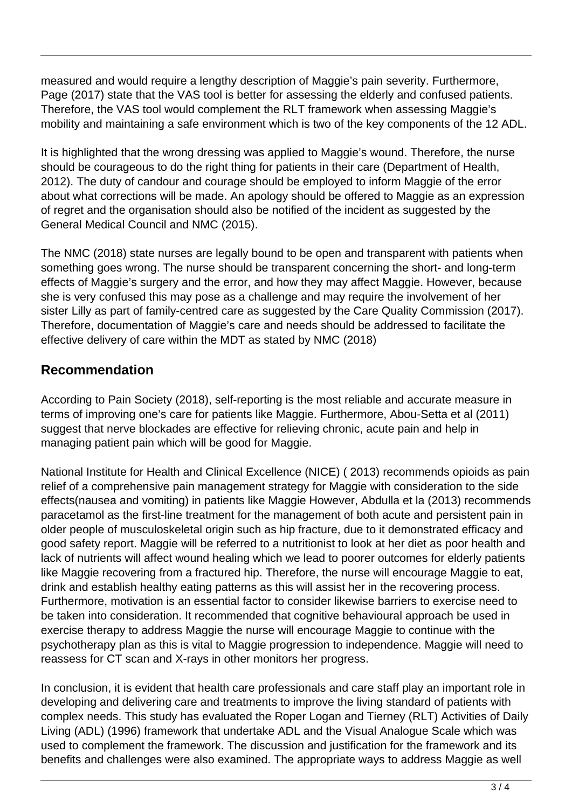measured and would require a lengthy description of Maggie's pain severity. Furthermore, Page (2017) state that the VAS tool is better for assessing the elderly and confused patients. Therefore, the VAS tool would complement the RLT framework when assessing Maggie's mobility and maintaining a safe environment which is two of the key components of the 12 ADL.

It is highlighted that the wrong dressing was applied to Maggie's wound. Therefore, the nurse should be courageous to do the right thing for patients in their care (Department of Health, 2012). The duty of candour and courage should be employed to inform Maggie of the error about what corrections will be made. An apology should be offered to Maggie as an expression of regret and the organisation should also be notified of the incident as suggested by the General Medical Council and NMC (2015).

The NMC (2018) state nurses are legally bound to be open and transparent with patients when something goes wrong. The nurse should be transparent concerning the short- and long-term effects of Maggie's surgery and the error, and how they may affect Maggie. However, because she is very confused this may pose as a challenge and may require the involvement of her sister Lilly as part of family-centred care as suggested by the Care Quality Commission (2017). Therefore, documentation of Maggie's care and needs should be addressed to facilitate the effective delivery of care within the MDT as stated by NMC (2018)

## **Recommendation**

According to Pain Society (2018), self-reporting is the most reliable and accurate measure in terms of improving one's care for patients like Maggie. Furthermore, Abou-Setta et al (2011) suggest that nerve blockades are effective for relieving chronic, acute pain and help in managing patient pain which will be good for Maggie.

National Institute for Health and Clinical Excellence (NICE) ( 2013) recommends opioids as pain relief of a comprehensive pain management strategy for Maggie with consideration to the side effects(nausea and vomiting) in patients like Maggie However, Abdulla et la (2013) recommends paracetamol as the first-line treatment for the management of both acute and persistent pain in older people of musculoskeletal origin such as hip fracture, due to it demonstrated efficacy and good safety report. Maggie will be referred to a nutritionist to look at her diet as poor health and lack of nutrients will affect wound healing which we lead to poorer outcomes for elderly patients like Maggie recovering from a fractured hip. Therefore, the nurse will encourage Maggie to eat, drink and establish healthy eating patterns as this will assist her in the recovering process. Furthermore, motivation is an essential factor to consider likewise barriers to exercise need to be taken into consideration. It recommended that cognitive behavioural approach be used in exercise therapy to address Maggie the nurse will encourage Maggie to continue with the psychotherapy plan as this is vital to Maggie progression to independence. Maggie will need to reassess for CT scan and X-rays in other monitors her progress.

In conclusion, it is evident that health care professionals and care staff play an important role in developing and delivering care and treatments to improve the living standard of patients with complex needs. This study has evaluated the Roper Logan and Tierney (RLT) Activities of Daily Living (ADL) (1996) framework that undertake ADL and the Visual Analogue Scale which was used to complement the framework. The discussion and justification for the framework and its benefits and challenges were also examined. The appropriate ways to address Maggie as well